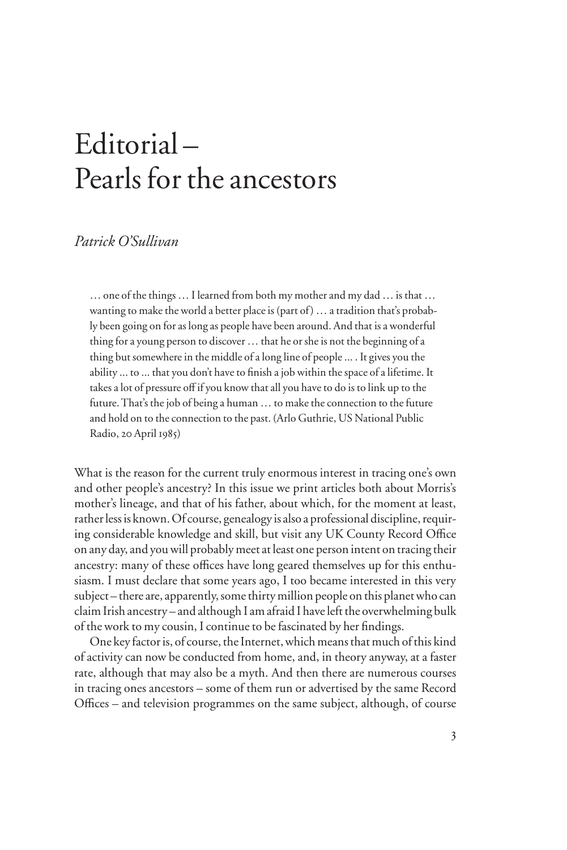## Editorial – Pearls for the ancestors

## *Patrick O'Sullivan*

… one of the things … I learned from both my mother and my dad … is that … wanting to make the world a better place is (part of) … a tradition that's probably been going on for as long as people have been around. And that is a wonderful thing for a young person to discover … that he or she is not the beginning of a thing but somewhere in the middle of a long line of people ... . It gives you the ability ... to ... that you don't have to finish a job within the space of a lifetime. It takes a lot of pressure off if you know that all you have to do is to link up to the future. That's the job of being a human … to make the connection to the future and hold on to the connection to the past. (Arlo Guthrie, US National Public Radio, 20 April 1985)

What is the reason for the current truly enormous interest in tracing one's own and other people's ancestry? In this issue we print articles both about Morris's mother's lineage, and that of his father, about which, for the moment at least, rather less is known. Of course, genealogy is also a professional discipline, requiring considerable knowledge and skill, but visit any UK County Record Office on any day, and you will probably meet at least one person intent on tracing their ancestry: many of these offices have long geared themselves up for this enthusiasm. I must declare that some years ago, I too became interested in this very subject – there are, apparently, some thirty million people on this planet who can claim Irish ancestry – and although I am afraid I have left the overwhelming bulk of the work to my cousin, I continue to be fascinated by her findings.

One key factor is, of course, the Internet, which means that much of this kind of activity can now be conducted from home, and, in theory anyway, at a faster rate, although that may also be a myth. And then there are numerous courses in tracing ones ancestors – some of them run or advertised by the same Record Offices – and television programmes on the same subject, although, of course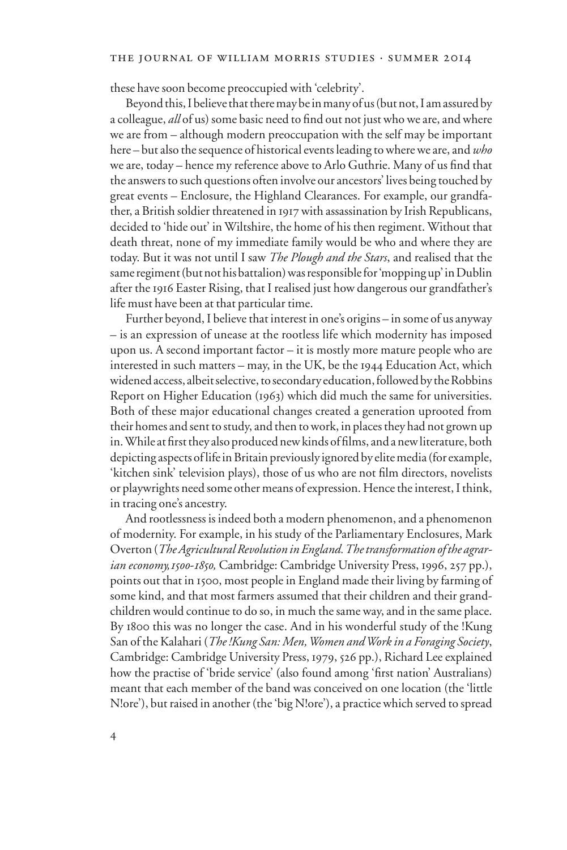these have soon become preoccupied with 'celebrity'.

Beyond this, I believe that there may be in many of us (but not, I am assured by a colleague, *all* of us) some basic need to find out not just who we are, and where we are from – although modern preoccupation with the self may be important here – but also the sequence of historical events leading to where we are, and *who* we are, today – hence my reference above to Arlo Guthrie. Many of us find that the answers to such questions often involve our ancestors' lives being touched by great events – Enclosure, the Highland Clearances. For example, our grandfather, a British soldier threatened in 1917 with assassination by Irish Republicans, decided to 'hide out' in Wiltshire, the home of his then regiment. Without that death threat, none of my immediate family would be who and where they are today. But it was not until I saw *The Plough and the Stars*, and realised that the same regiment (but not his battalion) was responsible for 'mopping up' in Dublin after the 1916 Easter Rising, that I realised just how dangerous our grandfather's life must have been at that particular time.

Further beyond, I believe that interest in one's origins – in some of us anyway – is an expression of unease at the rootless life which modernity has imposed upon us. A second important factor – it is mostly more mature people who are interested in such matters – may, in the UK, be the 1944 Education Act, which widened access, albeit selective, to secondary education, followed by the Robbins Report on Higher Education (1963) which did much the same for universities. Both of these major educational changes created a generation uprooted from their homes and sent to study, and then to work, in places they had not grown up in. While at first they also produced new kinds of films, and a new literature, both depicting aspects of life in Britain previously ignored by elite media (for example, 'kitchen sink' television plays), those of us who are not film directors, novelists or playwrights need some other means of expression. Hence the interest, I think, in tracing one's ancestry.

And rootlessness is indeed both a modern phenomenon, and a phenomenon of modernity. For example, in his study of the Parliamentary Enclosures, Mark Overton (*The Agricultural Revolution in England. The transformation of the agrarian economy,1500-1850,* Cambridge: Cambridge University Press, 1996, 257 pp.), points out that in 1500, most people in England made their living by farming of some kind, and that most farmers assumed that their children and their grandchildren would continue to do so, in much the same way, and in the same place. By 1800 this was no longer the case. And in his wonderful study of the !Kung San of the Kalahari (*The !Kung San: Men, Women and Work in a Foraging Society*, Cambridge: Cambridge University Press, 1979, 526 pp.), Richard Lee explained how the practise of 'bride service' (also found among 'first nation' Australians) meant that each member of the band was conceived on one location (the 'little N!ore'), but raised in another (the 'big N!ore'), a practice which served to spread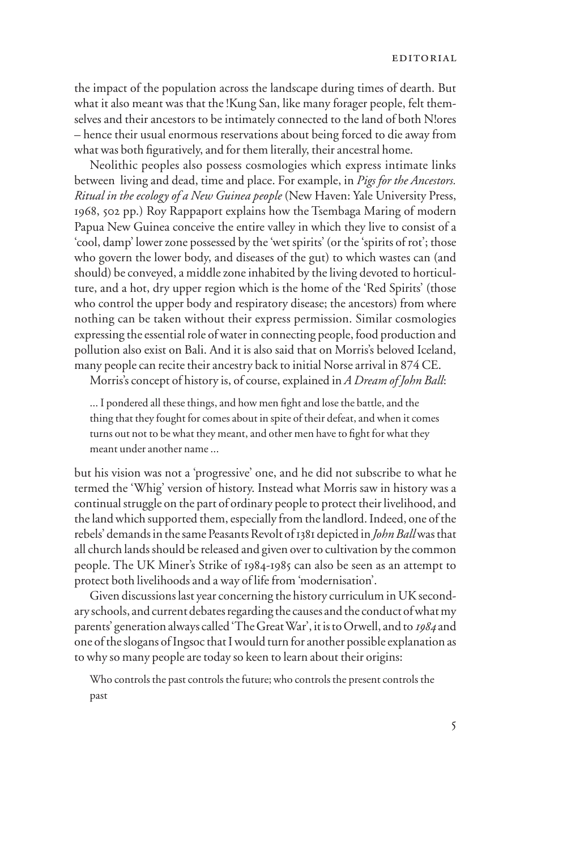the impact of the population across the landscape during times of dearth. But what it also meant was that the !Kung San, like many forager people, felt themselves and their ancestors to be intimately connected to the land of both N!ores – hence their usual enormous reservations about being forced to die away from what was both figuratively, and for them literally, their ancestral home.

Neolithic peoples also possess cosmologies which express intimate links between living and dead, time and place. For example, in *Pigs for the Ancestors. Ritual in the ecology of a New Guinea people* (New Haven: Yale University Press, 1968, 502 pp.) Roy Rappaport explains how the Tsembaga Maring of modern Papua New Guinea conceive the entire valley in which they live to consist of a 'cool, damp' lower zone possessed by the 'wet spirits' (or the 'spirits of rot'; those who govern the lower body, and diseases of the gut) to which wastes can (and should) be conveyed, a middle zone inhabited by the living devoted to horticulture, and a hot, dry upper region which is the home of the 'Red Spirits' (those who control the upper body and respiratory disease; the ancestors) from where nothing can be taken without their express permission. Similar cosmologies expressing the essential role of water in connecting people, food production and pollution also exist on Bali. And it is also said that on Morris's beloved Iceland, many people can recite their ancestry back to initial Norse arrival in 874 CE.

Morris's concept of history is, of course, explained in *A Dream of John Ball*:

... I pondered all these things, and how men fight and lose the battle, and the thing that they fought for comes about in spite of their defeat, and when it comes turns out not to be what they meant, and other men have to fight for what they meant under another name ...

but his vision was not a 'progressive' one, and he did not subscribe to what he termed the 'Whig' version of history. Instead what Morris saw in history was a continual struggle on the part of ordinary people to protect their livelihood, and the land which supported them, especially from the landlord. Indeed, one of the rebels' demands in the same Peasants Revolt of 1381 depicted in *John Ball* was that all church lands should be released and given over to cultivation by the common people. The UK Miner's Strike of 1984-1985 can also be seen as an attempt to protect both livelihoods and a way of life from 'modernisation'.

Given discussions last year concerning the history curriculum in UK secondary schools, and current debates regarding the causes and the conduct of what my parents' generation always called 'The Great War', it is to Orwell, and to *1984* and one of the slogans of Ingsoc that I would turn for another possible explanation as to why so many people are today so keen to learn about their origins:

Who controls the past controls the future; who controls the present controls the past